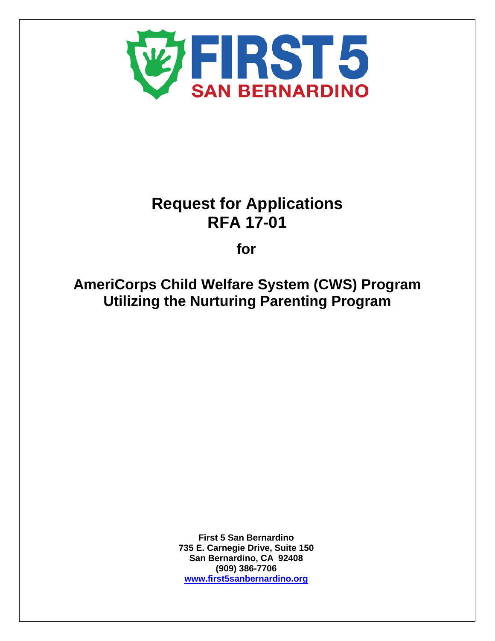

# **Request for Applications RFA 17-01**

**for**

**AmeriCorps Child Welfare System (CWS) Program Utilizing the Nurturing Parenting Program**

> **First 5 San Bernardino 735 E. Carnegie Drive, Suite 150 San Bernardino, CA 92408 (909) 386-7706 [www.first5sanbernardino.org](http://www.first5sanbernardino.org/)**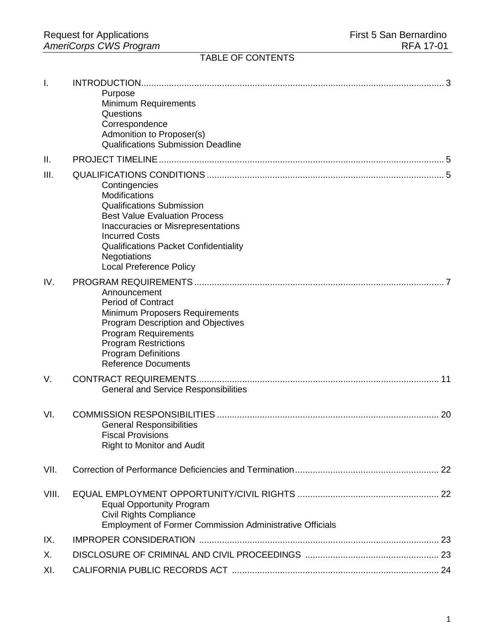## TABLE OF CONTENTS

| I.    |                                                                             |  |
|-------|-----------------------------------------------------------------------------|--|
|       | Purpose<br>Minimum Requirements                                             |  |
|       | Questions                                                                   |  |
|       | Correspondence                                                              |  |
|       | Admonition to Proposer(s)                                                   |  |
|       | <b>Qualifications Submission Deadline</b>                                   |  |
| Ш.    |                                                                             |  |
| III.  |                                                                             |  |
|       | Contingencies                                                               |  |
|       | Modifications                                                               |  |
|       | <b>Qualifications Submission</b><br><b>Best Value Evaluation Process</b>    |  |
|       | Inaccuracies or Misrepresentations                                          |  |
|       | <b>Incurred Costs</b>                                                       |  |
|       | <b>Qualifications Packet Confidentiality</b>                                |  |
|       | <b>Negotiations</b>                                                         |  |
|       | <b>Local Preference Policy</b>                                              |  |
| IV.   |                                                                             |  |
|       | Announcement                                                                |  |
|       | <b>Period of Contract</b>                                                   |  |
|       | Minimum Proposers Requirements<br><b>Program Description and Objectives</b> |  |
|       | <b>Program Requirements</b>                                                 |  |
|       | <b>Program Restrictions</b>                                                 |  |
|       | <b>Program Definitions</b>                                                  |  |
|       | <b>Reference Documents</b>                                                  |  |
| V.    |                                                                             |  |
|       | <b>General and Service Responsibilities</b>                                 |  |
| VI.   |                                                                             |  |
|       | <b>General Responsibilities</b>                                             |  |
|       | <b>Fiscal Provisions</b>                                                    |  |
|       | <b>Right to Monitor and Audit</b>                                           |  |
| VII.  |                                                                             |  |
| VIII. |                                                                             |  |
|       | <b>Equal Opportunity Program</b>                                            |  |
|       | <b>Civil Rights Compliance</b>                                              |  |
|       | <b>Employment of Former Commission Administrative Officials</b>             |  |
| IX.   |                                                                             |  |
| Х.    |                                                                             |  |
| XI.   |                                                                             |  |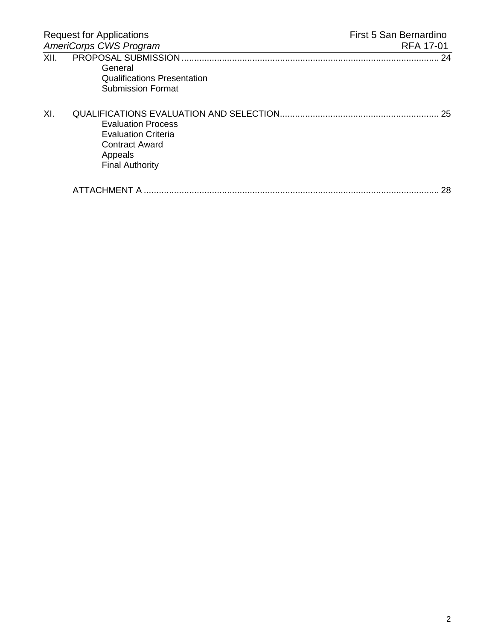| <b>Request for Applications</b><br><b>AmeriCorps CWS Program</b> |                                                                                                                | First 5 San Bernardino |
|------------------------------------------------------------------|----------------------------------------------------------------------------------------------------------------|------------------------|
|                                                                  |                                                                                                                | RFA 17-01              |
| XII.                                                             | General<br><b>Qualifications Presentation</b><br><b>Submission Format</b>                                      | 24                     |
| XI.                                                              | <b>Evaluation Process</b><br><b>Evaluation Criteria</b><br>Contract Award<br>Appeals<br><b>Final Authority</b> | 25                     |
|                                                                  |                                                                                                                | 28                     |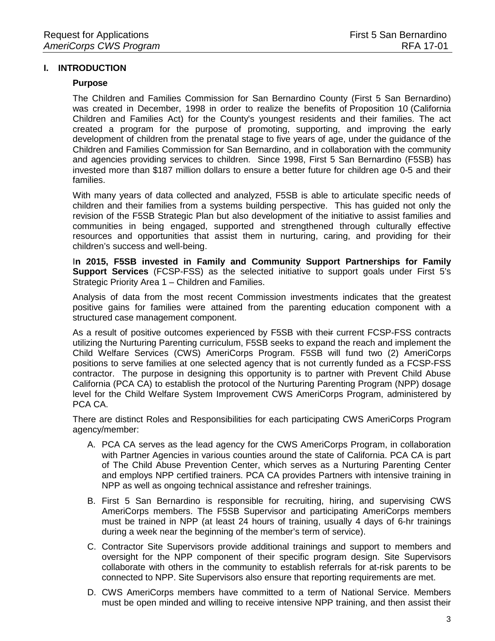## **I. INTRODUCTION**

#### **Purpose**

The Children and Families Commission for San Bernardino County (First 5 San Bernardino) was created in December, 1998 in order to realize the benefits of [Proposition 10](http://first5sanbernardino.org/Portals/39/pdf/CaChildrenandFamilyCommission.pdf) (California Children and Families Act) for the County's youngest residents and their families. The act created a program for the purpose of promoting, supporting, and improving the early development of children from the prenatal stage to five years of age, under the guidance of the Children and Families Commission for San Bernardino, and in collaboration with the community and agencies providing services to children. Since 1998, First 5 San Bernardino (F5SB) has invested more than \$187 million dollars to ensure a better future for children age 0-5 and their families.

With many years of data collected and analyzed, F5SB is able to articulate specific needs of children and their families from a systems building perspective. This has guided not only the revision of the F5SB Strategic Plan but also development of the initiative to assist families and communities in being engaged, supported and strengthened through culturally effective resources and opportunities that assist them in nurturing, caring, and providing for their children's success and well-being.

I**n 2015, F5SB invested in Family and Community Support Partnerships for Family Support Services** (FCSP-FSS) as the selected initiative to support goals under First 5's Strategic Priority Area 1 – Children and Families.

Analysis of data from the most recent Commission investments indicates that the greatest positive gains for families were attained from the parenting education component with a structured case management component.

As a result of positive outcomes experienced by F5SB with their current FCSP-FSS contracts utilizing the Nurturing Parenting curriculum, F5SB seeks to expand the reach and implement the Child Welfare Services (CWS) AmeriCorps Program. F5SB will fund two (2) AmeriCorps positions to serve families at one selected agency that is not currently funded as a FCSP-FSS contractor. The purpose in designing this opportunity is to partner with Prevent Child Abuse California (PCA CA) to establish the protocol of the Nurturing Parenting Program (NPP) dosage level for the Child Welfare System Improvement CWS AmeriCorps Program, administered by PCA CA.

There are distinct Roles and Responsibilities for each participating CWS AmeriCorps Program agency/member:

- A. PCA CA serves as the lead agency for the CWS AmeriCorps Program, in collaboration with Partner Agencies in various counties around the state of California. PCA CA is part of The Child Abuse Prevention Center, which serves as a Nurturing Parenting Center and employs NPP certified trainers. PCA CA provides Partners with intensive training in NPP as well as ongoing technical assistance and refresher trainings.
- B. First 5 San Bernardino is responsible for recruiting, hiring, and supervising CWS AmeriCorps members. The F5SB Supervisor and participating AmeriCorps members must be trained in NPP (at least 24 hours of training, usually 4 days of 6-hr trainings during a week near the beginning of the member's term of service).
- C. Contractor Site Supervisors provide additional trainings and support to members and oversight for the NPP component of their specific program design. Site Supervisors collaborate with others in the community to establish referrals for at-risk parents to be connected to NPP. Site Supervisors also ensure that reporting requirements are met.
- D. CWS AmeriCorps members have committed to a term of National Service. Members must be open minded and willing to receive intensive NPP training, and then assist their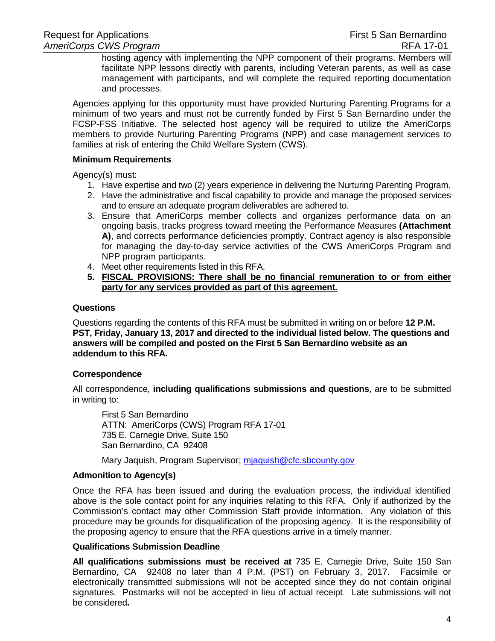hosting agency with implementing the NPP component of their programs. Members will facilitate NPP lessons directly with parents, including Veteran parents, as well as case management with participants, and will complete the required reporting documentation and processes.

Agencies applying for this opportunity must have provided Nurturing Parenting Programs for a minimum of two years and must not be currently funded by First 5 San Bernardino under the FCSP-FSS Initiative. The selected host agency will be required to utilize the AmeriCorps members to provide Nurturing Parenting Programs (NPP) and case management services to families at risk of entering the Child Welfare System (CWS).

#### **Minimum Requirements**

Agency(s) must:

- 1. Have expertise and two (2) years experience in delivering the Nurturing Parenting Program.
- 2. Have the administrative and fiscal capability to provide and manage the proposed services and to ensure an adequate program deliverables are adhered to.
- 3. Ensure that AmeriCorps member collects and organizes performance data on an ongoing basis, tracks progress toward meeting the Performance Measures **(Attachment A)**, and corrects performance deficiencies promptly. Contract agency is also responsible for managing the day-to-day service activities of the CWS AmeriCorps Program and NPP program participants.
- 4. Meet other requirements listed in this RFA.
- **5. FISCAL PROVISIONS: There shall be no financial remuneration to or from either party for any services provided as part of this agreement.**

#### **Questions**

Questions regarding the contents of this RFA must be submitted in writing on or before **12 P.M. PST, Friday, January 13, 2017 and directed to the individual listed below. The questions and answers will be compiled and posted on the First 5 San Bernardino website as an addendum to this RFA.** 

## **Correspondence**

All correspondence, **including qualifications submissions and questions**, are to be submitted in writing to:

First 5 San Bernardino ATTN: AmeriCorps (CWS) Program RFA 17-01 735 E. Carnegie Drive, Suite 150 San Bernardino, CA 92408

Mary Jaquish, Program Supervisor; miaquish@cfc.sbcounty.gov

## **Admonition to Agency(s)**

Once the RFA has been issued and during the evaluation process, the individual identified above is the sole contact point for any inquiries relating to this RFA. Only if authorized by the Commission's contact may other Commission Staff provide information. Any violation of this procedure may be grounds for disqualification of the proposing agency. It is the responsibility of the proposing agency to ensure that the RFA questions arrive in a timely manner.

#### **Qualifications Submission Deadline**

**All qualifications submissions must be received at** 735 E. Carnegie Drive, Suite 150 San Bernardino, CA 92408 no later than 4 P.M. (PST) on February 3, 2017. Facsimile or electronically transmitted submissions will not be accepted since they do not contain original signatures. Postmarks will not be accepted in lieu of actual receipt. Late submissions will not be considered**.**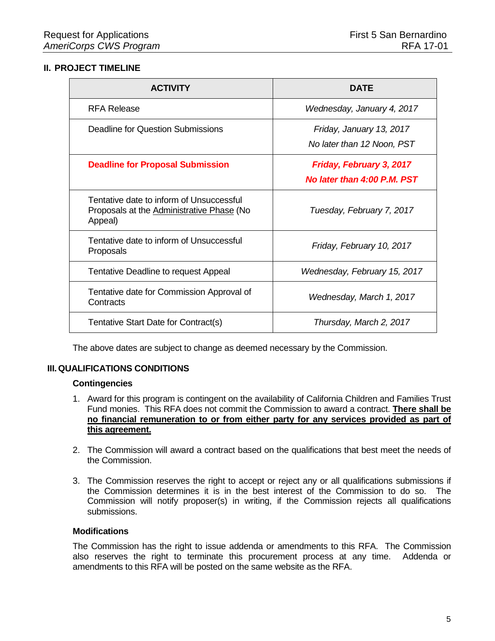## **II. PROJECT TIMELINE**

| <b>ACTIVITY</b>                                                                                  | <b>DATE</b>                                             |  |  |
|--------------------------------------------------------------------------------------------------|---------------------------------------------------------|--|--|
| <b>RFA Release</b>                                                                               | Wednesday, January 4, 2017                              |  |  |
| Deadline for Question Submissions                                                                | Friday, January 13, 2017<br>No later than 12 Noon, PST  |  |  |
| <b>Deadline for Proposal Submission</b>                                                          | Friday, February 3, 2017<br>No later than 4:00 P.M. PST |  |  |
| Tentative date to inform of Unsuccessful<br>Proposals at the Administrative Phase (No<br>Appeal) | Tuesday, February 7, 2017                               |  |  |
| Tentative date to inform of Unsuccessful<br>Proposals                                            | Friday, February 10, 2017                               |  |  |
| Tentative Deadline to request Appeal                                                             | Wednesday, February 15, 2017                            |  |  |
| Tentative date for Commission Approval of<br>Contracts                                           | Wednesday, March 1, 2017                                |  |  |
| Tentative Start Date for Contract(s)                                                             | Thursday, March 2, 2017                                 |  |  |

The above dates are subject to change as deemed necessary by the Commission.

## **III.QUALIFICATIONS CONDITIONS**

#### **Contingencies**

- 1. Award for this program is contingent on the availability of California Children and Families Trust Fund monies. This RFA does not commit the Commission to award a contract. **There shall be no financial remuneration to or from either party for any services provided as part of this agreement.**
- 2. The Commission will award a contract based on the qualifications that best meet the needs of the Commission.
- 3. The Commission reserves the right to accept or reject any or all qualifications submissions if the Commission determines it is in the best interest of the Commission to do so. The Commission will notify proposer(s) in writing, if the Commission rejects all qualifications submissions.

## **Modifications**

The Commission has the right to issue addenda or amendments to this RFA. The Commission also reserves the right to terminate this procurement process at any time. Addenda or amendments to this RFA will be posted on the same website as the RFA.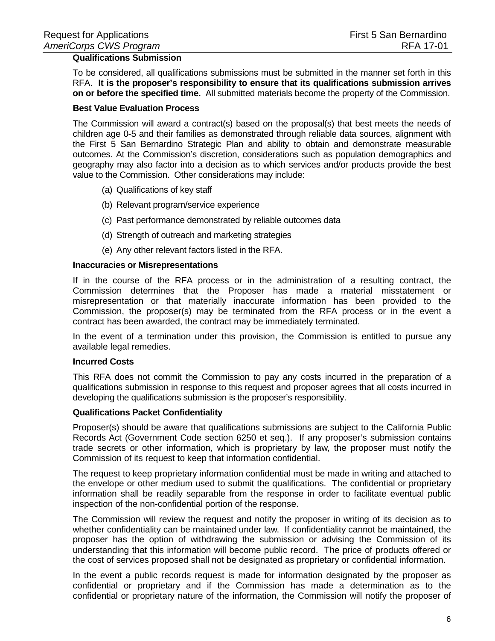## **Qualifications Submission**

To be considered, all qualifications submissions must be submitted in the manner set forth in this RFA. **It is the proposer's responsibility to ensure that its qualifications submission arrives on or before the specified time.** All submitted materials become the property of the Commission.

#### **Best Value Evaluation Process**

The Commission will award a contract(s) based on the proposal(s) that best meets the needs of children age 0-5 and their families as demonstrated through reliable data sources, alignment with the First 5 San Bernardino Strategic Plan and ability to obtain and demonstrate measurable outcomes. At the Commission's discretion, considerations such as population demographics and geography may also factor into a decision as to which services and/or products provide the best value to the Commission. Other considerations may include:

- (a) Qualifications of key staff
- (b) Relevant program/service experience
- (c) Past performance demonstrated by reliable outcomes data
- (d) Strength of outreach and marketing strategies
- (e) Any other relevant factors listed in the RFA.

#### **Inaccuracies or Misrepresentations**

If in the course of the RFA process or in the administration of a resulting contract, the Commission determines that the Proposer has made a material misstatement or misrepresentation or that materially inaccurate information has been provided to the Commission, the proposer(s) may be terminated from the RFA process or in the event a contract has been awarded, the contract may be immediately terminated.

In the event of a termination under this provision, the Commission is entitled to pursue any available legal remedies.

#### **Incurred Costs**

This RFA does not commit the Commission to pay any costs incurred in the preparation of a qualifications submission in response to this request and proposer agrees that all costs incurred in developing the qualifications submission is the proposer's responsibility.

#### **Qualifications Packet Confidentiality**

Proposer(s) should be aware that qualifications submissions are subject to the California Public Records Act (Government Code section 6250 et seq.). If any proposer's submission contains trade secrets or other information, which is proprietary by law, the proposer must notify the Commission of its request to keep that information confidential.

The request to keep proprietary information confidential must be made in writing and attached to the envelope or other medium used to submit the qualifications. The confidential or proprietary information shall be readily separable from the response in order to facilitate eventual public inspection of the non-confidential portion of the response.

The Commission will review the request and notify the proposer in writing of its decision as to whether confidentiality can be maintained under law. If confidentiality cannot be maintained, the proposer has the option of withdrawing the submission or advising the Commission of its understanding that this information will become public record. The price of products offered or the cost of services proposed shall not be designated as proprietary or confidential information.

In the event a public records request is made for information designated by the proposer as confidential or proprietary and if the Commission has made a determination as to the confidential or proprietary nature of the information, the Commission will notify the proposer of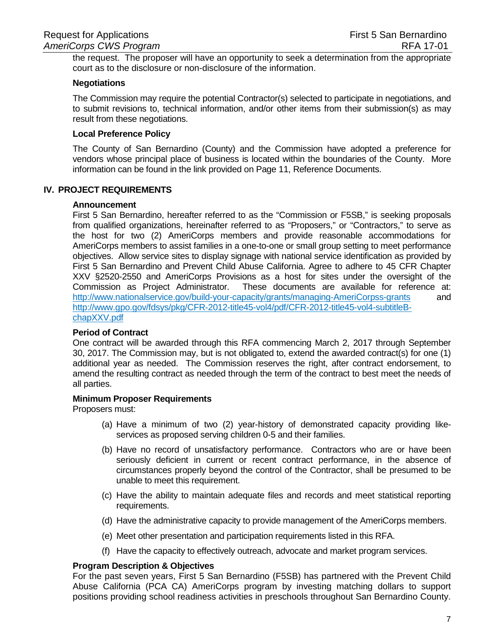the request. The proposer will have an opportunity to seek a determination from the appropriate court as to the disclosure or non-disclosure of the information.

#### **Negotiations**

The Commission may require the potential Contractor(s) selected to participate in negotiations, and to submit revisions to, technical information, and/or other items from their submission(s) as may result from these negotiations.

## **Local Preference Policy**

The County of San Bernardino (County) and the Commission have adopted a preference for vendors whose principal place of business is located within the boundaries of the County. More information can be found in the link provided on Page 11, Reference Documents.

#### **IV. PROJECT REQUIREMENTS**

#### **Announcement**

First 5 San Bernardino, hereafter referred to as the "Commission or F5SB," is seeking proposals from qualified organizations, hereinafter referred to as "Proposers," or "Contractors," to serve as the host for two (2) AmeriCorps members and provide reasonable accommodations for AmeriCorps members to assist families in a one-to-one or small group setting to meet performance objectives. Allow service sites to display signage with national service identification as provided by First 5 San Bernardino and Prevent Child Abuse California. Agree to adhere to 45 CFR Chapter XXV §2520-2550 and AmeriCorps Provisions as a host for sites under the oversight of the Commission as Project Administrator. These documents are available for reference at: [http://www.nationalservice.gov/build-your-capacity/grants/managing-AmeriCorpss-grants](http://www.nationalservice.gov/build-your-capacity/grants/managing-americorps-grants) and [http://www.gpo.gov/fdsys/pkg/CFR-2012-title45-vol4/pdf/CFR-2012-title45-vol4-subtitleB](http://www.gpo.gov/fdsys/pkg/CFR-2012-title45-vol4/pdf/CFR-2012-title45-vol4-subtitleB-chapXXV.pdf)[chapXXV.pdf](http://www.gpo.gov/fdsys/pkg/CFR-2012-title45-vol4/pdf/CFR-2012-title45-vol4-subtitleB-chapXXV.pdf)

#### **Period of Contract**

One contract will be awarded through this RFA commencing March 2, 2017 through September 30, 2017. The Commission may, but is not obligated to, extend the awarded contract(s) for one (1) additional year as needed. The Commission reserves the right, after contract endorsement, to amend the resulting contract as needed through the term of the contract to best meet the needs of all parties.

#### **Minimum Proposer Requirements**

Proposers must:

- (a) Have a minimum of two (2) year-history of demonstrated capacity providing likeservices as proposed serving children 0-5 and their families.
- (b) Have no record of unsatisfactory performance. Contractors who are or have been seriously deficient in current or recent contract performance, in the absence of circumstances properly beyond the control of the Contractor, shall be presumed to be unable to meet this requirement.
- (c) Have the ability to maintain adequate files and records and meet statistical reporting requirements.
- (d) Have the administrative capacity to provide management of the AmeriCorps members.
- (e) Meet other presentation and participation requirements listed in this RFA.
- (f) Have the capacity to effectively outreach, advocate and market program services.

## **Program Description & Objectives**

For the past seven years, First 5 San Bernardino (F5SB) has partnered with the Prevent Child Abuse California (PCA CA) AmeriCorps program by investing matching dollars to support positions providing school readiness activities in preschools throughout San Bernardino County.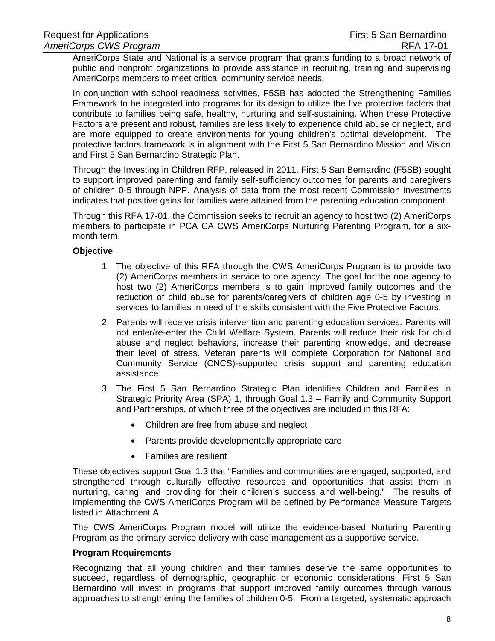AmeriCorps State and National is a service program that grants funding to a broad network of public and nonprofit organizations to provide assistance in recruiting, training and supervising AmeriCorps members to meet critical community service needs.

In conjunction with school readiness activities, F5SB has adopted the Strengthening Families Framework to be integrated into programs for its design to utilize the five protective factors that contribute to families being safe, healthy, nurturing and self-sustaining. When these Protective Factors are present and robust, families are less likely to experience child abuse or neglect, and are more equipped to create environments for young children's optimal development. The protective factors framework is in alignment with the First 5 San Bernardino Mission and Vision and First 5 San Bernardino Strategic Plan.

Through the Investing in Children RFP, released in 2011, First 5 San Bernardino (F5SB) sought to support improved parenting and family self-sufficiency outcomes for parents and caregivers of children 0-5 through NPP. Analysis of data from the most recent Commission investments indicates that positive gains for families were attained from the parenting education component.

Through this RFA 17-01, the Commission seeks to recruit an agency to host two (2) AmeriCorps members to participate in PCA CA CWS AmeriCorps Nurturing Parenting Program, for a sixmonth term.

## **Objective**

- 1. The objective of this RFA through the CWS AmeriCorps Program is to provide two (2) AmeriCorps members in service to one agency. The goal for the one agency to host two (2) AmeriCorps members is to gain improved family outcomes and the reduction of child abuse for parents/caregivers of children age 0-5 by investing in services to families in need of the skills consistent with the Five Protective Factors.
- 2. Parents will receive crisis intervention and parenting education services. Parents will not enter/re-enter the Child Welfare System. Parents will reduce their risk for child abuse and neglect behaviors, increase their parenting knowledge, and decrease their level of stress. Veteran parents will complete Corporation for National and Community Service (CNCS)-supported crisis support and parenting education assistance.
- 3. The First 5 San Bernardino Strategic Plan identifies Children and Families in Strategic Priority Area (SPA) 1, through Goal 1.3 – Family and Community Support and Partnerships, of which three of the objectives are included in this RFA:
	- Children are free from abuse and neglect
	- Parents provide developmentally appropriate care
	- Families are resilient

These objectives support Goal 1.3 that "Families and communities are engaged, supported, and strengthened through culturally effective resources and opportunities that assist them in nurturing, caring, and providing for their children's success and well-being." The results of implementing the CWS AmeriCorps Program will be defined by Performance Measure Targets listed in Attachment A.

The CWS AmeriCorps Program model will utilize the evidence-based Nurturing Parenting Program as the primary service delivery with case management as a supportive service.

## **Program Requirements**

Recognizing that all young children and their families deserve the same opportunities to succeed, regardless of demographic, geographic or economic considerations, First 5 San Bernardino will invest in programs that support improved family outcomes through various approaches to strengthening the families of children 0-5. From a targeted, systematic approach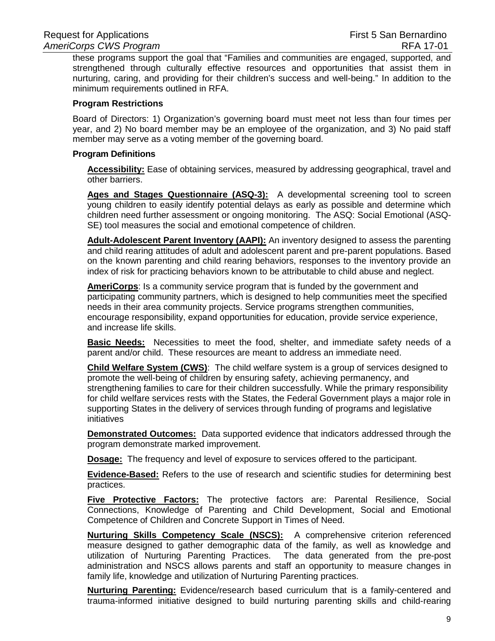these programs support the goal that "Families and communities are engaged, supported, and strengthened through culturally effective resources and opportunities that assist them in nurturing, caring, and providing for their children's success and well-being." In addition to the minimum requirements outlined in RFA.

#### **Program Restrictions**

Board of Directors: 1) Organization's governing board must meet not less than four times per year, and 2) No board member may be an employee of the organization, and 3) No paid staff member may serve as a voting member of the governing board.

#### **Program Definitions**

**Accessibility:** Ease of obtaining services, measured by addressing geographical, travel and other barriers.

**Ages and Stages Questionnaire (ASQ-3):** A developmental screening tool to screen young children to easily identify potential delays as early as possible and determine which children need further assessment or ongoing monitoring. The ASQ: Social Emotional (ASQ-SE) tool measures the social and emotional competence of children.

**Adult-Adolescent Parent Inventory (AAPI):** An inventory designed to assess the parenting and child rearing attitudes of adult and adolescent parent and pre-parent populations. Based on the known parenting and child rearing behaviors, responses to the inventory provide an index of risk for practicing behaviors known to be attributable to child abuse and neglect.

**AmeriCorps**: Is a community service program that is funded by the government and participating community partners, which is designed to help communities meet the specified needs in their area community projects. Service programs strengthen communities, encourage responsibility, expand opportunities for education, provide service experience, and increase life skills.

**Basic Needs:** Necessities to meet the food, shelter, and immediate safety needs of a parent and/or child. These resources are meant to address an immediate need.

**Child Welfare System (CWS)**: The child welfare system is a group of services designed to promote the well-being of children by ensuring safety, achieving permanency, and strengthening families to care for their children successfully. While the primary responsibility for child welfare services rests with the States, the Federal Government plays a major role in supporting States in the delivery of services through funding of programs and legislative initiatives

**Demonstrated Outcomes:** Data supported evidence that indicators addressed through the program demonstrate marked improvement.

**Dosage:** The frequency and level of exposure to services offered to the participant.

**Evidence-Based:** Refers to the use of research and scientific studies for determining best practices.

**Five Protective Factors:** The protective factors are: Parental Resilience, Social Connections, Knowledge of Parenting and Child Development, Social and Emotional Competence of Children and Concrete Support in Times of Need.

**Nurturing Skills Competency Scale (NSCS):** A comprehensive criterion referenced measure designed to gather demographic data of the family, as well as knowledge and utilization of Nurturing Parenting Practices. The data generated from the pre-post administration and NSCS allows parents and staff an opportunity to measure changes in family life, knowledge and utilization of Nurturing Parenting practices.

**Nurturing Parenting:** Evidence/research based curriculum that is a family-centered and trauma-informed initiative designed to build nurturing parenting skills and child-rearing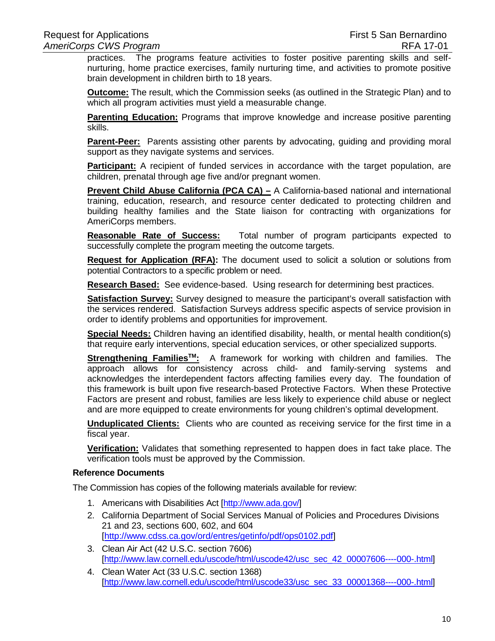practices. The programs feature activities to foster positive parenting skills and selfnurturing, home practice exercises, family nurturing time, and activities to promote positive brain development in children birth to 18 years.

**Outcome:** The result, which the Commission seeks (as outlined in the Strategic Plan) and to which all program activities must yield a measurable change.

**Parenting Education:** Programs that improve knowledge and increase positive parenting skills.

**Parent-Peer:** Parents assisting other parents by advocating, guiding and providing moral support as they navigate systems and services.

**Participant:** A recipient of funded services in accordance with the target population, are children, prenatal through age five and/or pregnant women.

**Prevent Child Abuse California (PCA CA) –** A California-based national and international training, education, research, and resource center dedicated to protecting children and building healthy families and the State liaison for contracting with organizations for AmeriCorps members.

**Reasonable Rate of Success:** Total number of program participants expected to successfully complete the program meeting the outcome targets.

**Request for Application (RFA):** The document used to solicit a solution or solutions from potential Contractors to a specific problem or need.

**Research Based:** See evidence-based. Using research for determining best practices.

**Satisfaction Survey:** Survey designed to measure the participant's overall satisfaction with the services rendered. Satisfaction Surveys address specific aspects of service provision in order to identify problems and opportunities for improvement.

**Special Needs:** Children having an identified disability, health, or mental health condition(s) that require early interventions, special education services, or other specialized supports.

**Strengthening FamiliesTM:** A framework for working with children and families. The approach allows for consistency across child- and family-serving systems and acknowledges the interdependent factors affecting families every day. The foundation of this framework is built upon five research-based Protective Factors. When these Protective Factors are present and robust, families are less likely to experience child abuse or neglect and are more equipped to create environments for young children's optimal development.

**Unduplicated Clients:** Clients who are counted as receiving service for the first time in a fiscal year.

**Verification:** Validates that something represented to happen does in fact take place. The verification tools must be approved by the Commission.

## **Reference Documents**

The Commission has copies of the following materials available for review:

- 1. Americans with Disabilities Act [\[http://www.ada.gov/\]](http://www.ada.gov/)
- 2. California Department of Social Services Manual of Policies and Procedures Divisions 21 and 23, sections 600, 602, and 604 [\[http://www.cdss.ca.gov/ord/entres/getinfo/pdf/ops0102.pdf\]](http://www.cdss.ca.gov/ord/entres/getinfo/pdf/ops0102.pdf)
- 3. Clean Air Act (42 U.S.C. section 7606) [\[http://www.law.cornell.edu/uscode/html/uscode42/usc\\_sec\\_42\\_00007606----000-.html\]](http://www.law.cornell.edu/uscode/html/uscode42/usc_sec_42_00007606----000-.html)
- 4. Clean Water Act (33 U.S.C. section 1368) [\[http://www.law.cornell.edu/uscode/html/uscode33/usc\\_sec\\_33\\_00001368----000-.html\]](http://www.law.cornell.edu/uscode/html/uscode33/usc_sec_33_00001368----000-.html)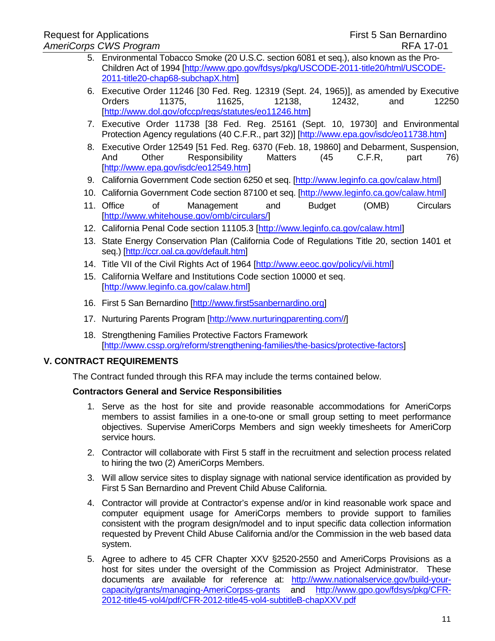- 5. Environmental Tobacco Smoke (20 U.S.C. section 6081 et seq.), also known as the Pro-Children Act of 1994 [\[http://www.gpo.gov/fdsys/pkg/USCODE-2011-title20/html/USCODE-](http://www.gpo.gov/fdsys/pkg/USCODE-2011-title20/html/USCODE-2011-title20-chap68-subchapX.htm)[2011-title20-chap68-subchapX.htm\]](http://www.gpo.gov/fdsys/pkg/USCODE-2011-title20/html/USCODE-2011-title20-chap68-subchapX.htm)
- 6. Executive Order 11246 [30 Fed. Reg. 12319 (Sept. 24, 1965)], as amended by Executive Orders 11375, 11625, 12138, 12432, and 12250 [\[http://www.dol.gov/ofccp/regs/statutes/eo11246.htm\]](http://www.dol.gov/ofccp/regs/statutes/eo11246.htm)
- 7. Executive Order 11738 [38 Fed. Reg. 25161 (Sept. 10, 19730] and Environmental Protection Agency regulations (40 C.F.R., part 32)] [\[http://www.epa.gov/isdc/eo11738.htm\]](http://www.epa.gov/isdc/eo11738.htm)
- 8. Executive Order 12549 [51 Fed. Reg. 6370 (Feb. 18, 19860] and Debarment, Suspension, And Other Responsibility Matters (45 C.F.R, part 76) [\[http://www.epa.gov/isdc/eo12549.htm\]](http://www.epa.gov/isdc/eo12549.htm)
- 9. California Government Code section 6250 et seq. [\[http://www.leginfo.ca.gov/calaw.html\]](http://www.leginfo.ca.gov/calaw.html)
- 10. California Government Code section 87100 et seq. [\[http://www.leginfo.ca.gov/calaw.html\]](http://www.leginfo.ca.gov/calaw.html)
- 11. Office of Management and Budget (OMB) Circulars [\[http://www.whitehouse.gov/omb/circulars/\]](http://www.whitehouse.gov/omb/circulars/)
- 12. California Penal Code section 11105.3 [\[http://www.leginfo.ca.gov/calaw.html\]](http://www.leginfo.ca.gov/calaw.html)
- 13. State Energy Conservation Plan (California Code of Regulations Title 20, section 1401 et seq.) [\[http://ccr.oal.ca.gov/default.htm\]](http://ccr.oal.ca.gov/default.htm)
- 14. Title VII of the Civil Rights Act of 1964 [\[http://www.eeoc.gov/policy/vii.html\]](http://www.eeoc.gov/policy/vii.html)
- 15. California Welfare and Institutions Code section 10000 et seq. [\[http://www.leginfo.ca.gov/calaw.html\]](http://www.leginfo.ca.gov/calaw.html)
- 16. First 5 San Bernardino [\[http://www.first5sanbernardino.org\]](http://www.first5sanbernardino.org/)
- 17. Nurturing Parents Program [\[http://www.nurturingparenting.com//](http://www.nurturingparenting.com/)]
- 18. Strengthening Families Protective Factors Framework [\[http://www.cssp.org/reform/strengthening-families/the-basics/protective-factors\]](http://www.cssp.org/reform/strengthening-families/the-basics/protective-factors)

## **V. CONTRACT REQUIREMENTS**

The Contract funded through this RFA may include the terms contained below.

## **Contractors General and Service Responsibilities**

- 1. Serve as the host for site and provide reasonable accommodations for AmeriCorps members to assist families in a one-to-one or small group setting to meet performance objectives. Supervise AmeriCorps Members and sign weekly timesheets for AmeriCorp service hours.
- 2. Contractor will collaborate with First 5 staff in the recruitment and selection process related to hiring the two (2) AmeriCorps Members.
- 3. Will allow service sites to display signage with national service identification as provided by First 5 San Bernardino and Prevent Child Abuse California.
- 4. Contractor will provide at Contractor's expense and/or in kind reasonable work space and computer equipment usage for AmeriCorps members to provide support to families consistent with the program design/model and to input specific data collection information requested by Prevent Child Abuse California and/or the Commission in the web based data system.
- 5. Agree to adhere to 45 CFR Chapter XXV §2520-2550 and AmeriCorps Provisions as a host for sites under the oversight of the Commission as Project Administrator. These documents are available for reference at: [http://www.nationalservice.gov/build-your](http://www.nationalservice.gov/build-your-capacity/grants/managing-americorps-grants)[capacity/grants/managing-AmeriCorpss-grants](http://www.nationalservice.gov/build-your-capacity/grants/managing-americorps-grants) and [http://www.gpo.gov/fdsys/pkg/CFR-](http://www.gpo.gov/fdsys/pkg/CFR-2012-title45-vol4/pdf/CFR-2012-title45-vol4-subtitleB-chapXXV.pdf)[2012-title45-vol4/pdf/CFR-2012-title45-vol4-subtitleB-chapXXV.pdf](http://www.gpo.gov/fdsys/pkg/CFR-2012-title45-vol4/pdf/CFR-2012-title45-vol4-subtitleB-chapXXV.pdf)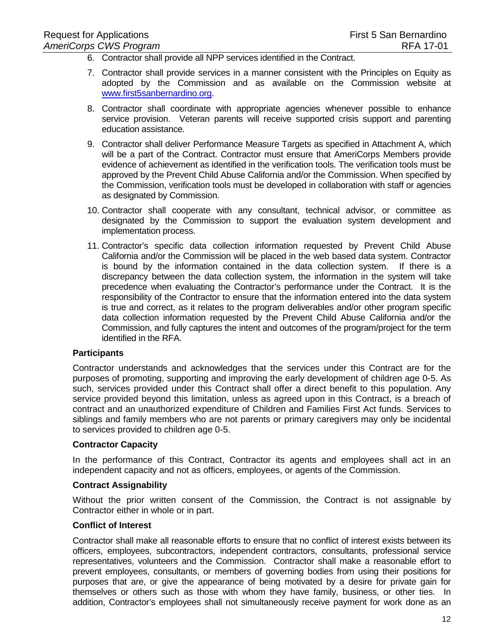- 6. Contractor shall provide all NPP services identified in the Contract.
- 7. Contractor shall provide services in a manner consistent with the Principles on Equity as adopted by the Commission and as available on the Commission website at [www.first5sanbernardino.org.](http://www.first5sanbernardino.org/)
- 8. Contractor shall coordinate with appropriate agencies whenever possible to enhance service provision. Veteran parents will receive supported crisis support and parenting education assistance.
- 9. Contractor shall deliver Performance Measure Targets as specified in Attachment A, which will be a part of the Contract. Contractor must ensure that AmeriCorps Members provide evidence of achievement as identified in the verification tools. The verification tools must be approved by the Prevent Child Abuse California and/or the Commission. When specified by the Commission, verification tools must be developed in collaboration with staff or agencies as designated by Commission.
- 10. Contractor shall cooperate with any consultant, technical advisor, or committee as designated by the Commission to support the evaluation system development and implementation process.
- 11. Contractor's specific data collection information requested by Prevent Child Abuse California and/or the Commission will be placed in the web based data system. Contractor is bound by the information contained in the data collection system. If there is a discrepancy between the data collection system, the information in the system will take precedence when evaluating the Contractor's performance under the Contract. It is the responsibility of the Contractor to ensure that the information entered into the data system is true and correct, as it relates to the program deliverables and/or other program specific data collection information requested by the Prevent Child Abuse California and/or the Commission, and fully captures the intent and outcomes of the program/project for the term identified in the RFA.

## **Participants**

Contractor understands and acknowledges that the services under this Contract are for the purposes of promoting, supporting and improving the early development of children age 0-5. As such, services provided under this Contract shall offer a direct benefit to this population. Any service provided beyond this limitation, unless as agreed upon in this Contract, is a breach of contract and an unauthorized expenditure of Children and Families First Act funds. Services to siblings and family members who are not parents or primary caregivers may only be incidental to services provided to children age 0-5.

#### **Contractor Capacity**

In the performance of this Contract, Contractor its agents and employees shall act in an independent capacity and not as officers, employees, or agents of the Commission.

#### **Contract Assignability**

Without the prior written consent of the Commission, the Contract is not assignable by Contractor either in whole or in part.

#### **Conflict of Interest**

Contractor shall make all reasonable efforts to ensure that no conflict of interest exists between its officers, employees, subcontractors, independent contractors, consultants, professional service representatives, volunteers and the Commission. Contractor shall make a reasonable effort to prevent employees, consultants, or members of governing bodies from using their positions for purposes that are, or give the appearance of being motivated by a desire for private gain for themselves or others such as those with whom they have family, business, or other ties. In addition, Contractor's employees shall not simultaneously receive payment for work done as an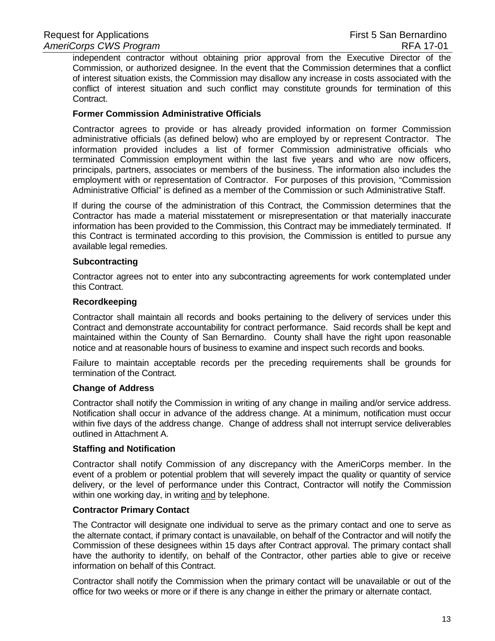independent contractor without obtaining prior approval from the Executive Director of the Commission, or authorized designee. In the event that the Commission determines that a conflict of interest situation exists, the Commission may disallow any increase in costs associated with the conflict of interest situation and such conflict may constitute grounds for termination of this Contract.

#### **Former Commission Administrative Officials**

Contractor agrees to provide or has already provided information on former Commission administrative officials (as defined below) who are employed by or represent Contractor. The information provided includes a list of former Commission administrative officials who terminated Commission employment within the last five years and who are now officers, principals, partners, associates or members of the business. The information also includes the employment with or representation of Contractor. For purposes of this provision, "Commission Administrative Official" is defined as a member of the Commission or such Administrative Staff.

If during the course of the administration of this Contract, the Commission determines that the Contractor has made a material misstatement or misrepresentation or that materially inaccurate information has been provided to the Commission, this Contract may be immediately terminated. If this Contract is terminated according to this provision, the Commission is entitled to pursue any available legal remedies.

#### **Subcontracting**

Contractor agrees not to enter into any subcontracting agreements for work contemplated under this Contract.

#### **Recordkeeping**

Contractor shall maintain all records and books pertaining to the delivery of services under this Contract and demonstrate accountability for contract performance. Said records shall be kept and maintained within the County of San Bernardino. County shall have the right upon reasonable notice and at reasonable hours of business to examine and inspect such records and books.

Failure to maintain acceptable records per the preceding requirements shall be grounds for termination of the Contract.

#### **Change of Address**

Contractor shall notify the Commission in writing of any change in mailing and/or service address. Notification shall occur in advance of the address change. At a minimum, notification must occur within five days of the address change. Change of address shall not interrupt service deliverables outlined in Attachment A.

#### **Staffing and Notification**

Contractor shall notify Commission of any discrepancy with the AmeriCorps member. In the event of a problem or potential problem that will severely impact the quality or quantity of service delivery, or the level of performance under this Contract, Contractor will notify the Commission within one working day, in writing and by telephone.

#### **Contractor Primary Contact**

The Contractor will designate one individual to serve as the primary contact and one to serve as the alternate contact, if primary contact is unavailable, on behalf of the Contractor and will notify the Commission of these designees within 15 days after Contract approval. The primary contact shall have the authority to identify, on behalf of the Contractor, other parties able to give or receive information on behalf of this Contract.

Contractor shall notify the Commission when the primary contact will be unavailable or out of the office for two weeks or more or if there is any change in either the primary or alternate contact.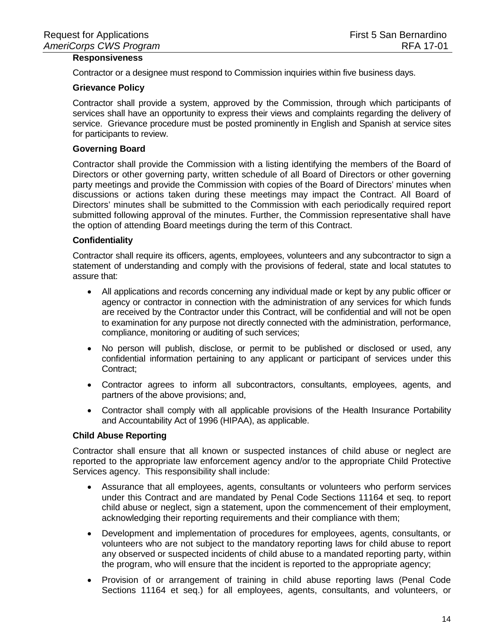## **Responsiveness**

Contractor or a designee must respond to Commission inquiries within five business days.

#### **Grievance Policy**

Contractor shall provide a system, approved by the Commission, through which participants of services shall have an opportunity to express their views and complaints regarding the delivery of service. Grievance procedure must be posted prominently in English and Spanish at service sites for participants to review.

## **Governing Board**

Contractor shall provide the Commission with a listing identifying the members of the Board of Directors or other governing party, written schedule of all Board of Directors or other governing party meetings and provide the Commission with copies of the Board of Directors' minutes when discussions or actions taken during these meetings may impact the Contract. All Board of Directors' minutes shall be submitted to the Commission with each periodically required report submitted following approval of the minutes. Further, the Commission representative shall have the option of attending Board meetings during the term of this Contract.

#### **Confidentiality**

Contractor shall require its officers, agents, employees, volunteers and any subcontractor to sign a statement of understanding and comply with the provisions of federal, state and local statutes to assure that:

- All applications and records concerning any individual made or kept by any public officer or agency or contractor in connection with the administration of any services for which funds are received by the Contractor under this Contract, will be confidential and will not be open to examination for any purpose not directly connected with the administration, performance, compliance, monitoring or auditing of such services;
- No person will publish, disclose, or permit to be published or disclosed or used, any confidential information pertaining to any applicant or participant of services under this Contract;
- Contractor agrees to inform all subcontractors, consultants, employees, agents, and partners of the above provisions; and,
- Contractor shall comply with all applicable provisions of the Health Insurance Portability and Accountability Act of 1996 (HIPAA), as applicable.

#### **Child Abuse Reporting**

Contractor shall ensure that all known or suspected instances of child abuse or neglect are reported to the appropriate law enforcement agency and/or to the appropriate Child Protective Services agency. This responsibility shall include:

- Assurance that all employees, agents, consultants or volunteers who perform services under this Contract and are mandated by Penal Code Sections 11164 et seq. to report child abuse or neglect, sign a statement, upon the commencement of their employment, acknowledging their reporting requirements and their compliance with them;
- Development and implementation of procedures for employees, agents, consultants, or volunteers who are not subject to the mandatory reporting laws for child abuse to report any observed or suspected incidents of child abuse to a mandated reporting party, within the program, who will ensure that the incident is reported to the appropriate agency;
- Provision of or arrangement of training in child abuse reporting laws (Penal Code Sections 11164 et seq.) for all employees, agents, consultants, and volunteers, or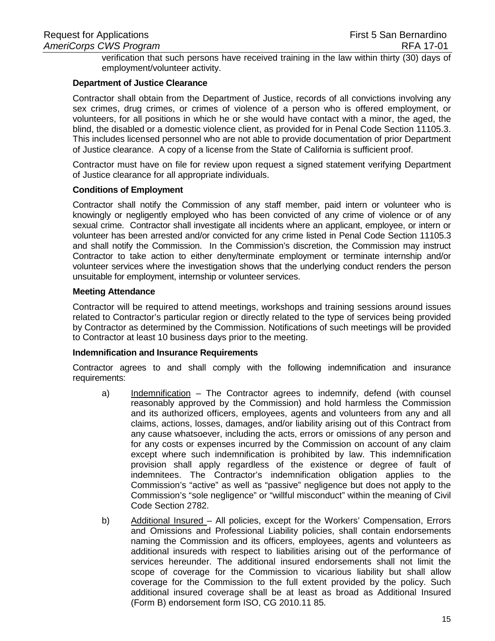verification that such persons have received training in the law within thirty (30) days of employment/volunteer activity.

#### **Department of Justice Clearance**

Contractor shall obtain from the Department of Justice, records of all convictions involving any sex crimes, drug crimes, or crimes of violence of a person who is offered employment, or volunteers, for all positions in which he or she would have contact with a minor, the aged, the blind, the disabled or a domestic violence client, as provided for in Penal Code Section 11105.3. This includes licensed personnel who are not able to provide documentation of prior Department of Justice clearance. A copy of a license from the State of California is sufficient proof.

Contractor must have on file for review upon request a signed statement verifying Department of Justice clearance for all appropriate individuals.

#### **Conditions of Employment**

Contractor shall notify the Commission of any staff member, paid intern or volunteer who is knowingly or negligently employed who has been convicted of any crime of violence or of any sexual crime. Contractor shall investigate all incidents where an applicant, employee, or intern or volunteer has been arrested and/or convicted for any crime listed in Penal Code Section 11105.3 and shall notify the Commission. In the Commission's discretion, the Commission may instruct Contractor to take action to either deny/terminate employment or terminate internship and/or volunteer services where the investigation shows that the underlying conduct renders the person unsuitable for employment, internship or volunteer services.

#### **Meeting Attendance**

Contractor will be required to attend meetings, workshops and training sessions around issues related to Contractor's particular region or directly related to the type of services being provided by Contractor as determined by the Commission. Notifications of such meetings will be provided to Contractor at least 10 business days prior to the meeting.

#### **Indemnification and Insurance Requirements**

Contractor agrees to and shall comply with the following indemnification and insurance requirements:

- a) Indemnification The Contractor agrees to indemnify, defend (with counsel reasonably approved by the Commission) and hold harmless the Commission and its authorized officers, employees, agents and volunteers from any and all claims, actions, losses, damages, and/or liability arising out of this Contract from any cause whatsoever, including the acts, errors or omissions of any person and for any costs or expenses incurred by the Commission on account of any claim except where such indemnification is prohibited by law. This indemnification provision shall apply regardless of the existence or degree of fault of indemnitees. The Contractor's indemnification obligation applies to the Commission's "active" as well as "passive" negligence but does not apply to the Commission's "sole negligence" or "willful misconduct" within the meaning of Civil Code Section 2782.
- b) Additional Insured All policies, except for the Workers' Compensation, Errors and Omissions and Professional Liability policies, shall contain endorsements naming the Commission and its officers, employees, agents and volunteers as additional insureds with respect to liabilities arising out of the performance of services hereunder. The additional insured endorsements shall not limit the scope of coverage for the Commission to vicarious liability but shall allow coverage for the Commission to the full extent provided by the policy. Such additional insured coverage shall be at least as broad as Additional Insured (Form B) endorsement form ISO, CG 2010.11 85.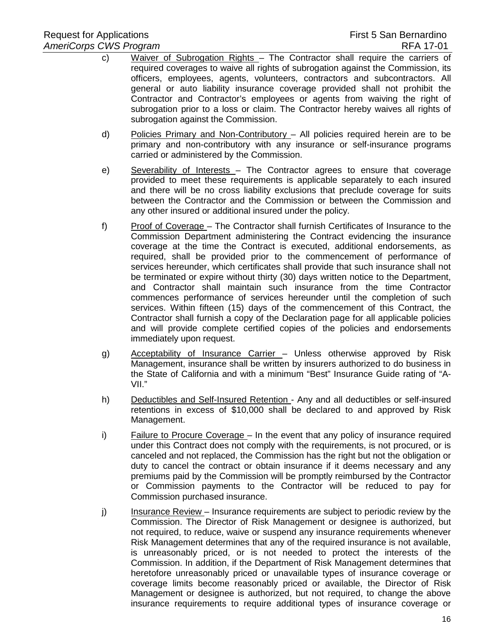- c) Waiver of Subrogation Rights The Contractor shall require the carriers of required coverages to waive all rights of subrogation against the Commission, its officers, employees, agents, volunteers, contractors and subcontractors. All general or auto liability insurance coverage provided shall not prohibit the Contractor and Contractor's employees or agents from waiving the right of subrogation prior to a loss or claim. The Contractor hereby waives all rights of subrogation against the Commission.
- d) Policies Primary and Non-Contributory All policies required herein are to be primary and non-contributory with any insurance or self-insurance programs carried or administered by the Commission.
- e) Severability of Interests The Contractor agrees to ensure that coverage provided to meet these requirements is applicable separately to each insured and there will be no cross liability exclusions that preclude coverage for suits between the Contractor and the Commission or between the Commission and any other insured or additional insured under the policy.
- f) Proof of Coverage The Contractor shall furnish Certificates of Insurance to the Commission Department administering the Contract evidencing the insurance coverage at the time the Contract is executed, additional endorsements, as required, shall be provided prior to the commencement of performance of services hereunder, which certificates shall provide that such insurance shall not be terminated or expire without thirty (30) days written notice to the Department, and Contractor shall maintain such insurance from the time Contractor commences performance of services hereunder until the completion of such services. Within fifteen (15) days of the commencement of this Contract, the Contractor shall furnish a copy of the Declaration page for all applicable policies and will provide complete certified copies of the policies and endorsements immediately upon request.
- g) Acceptability of Insurance Carrier Unless otherwise approved by Risk Management, insurance shall be written by insurers authorized to do business in the State of California and with a minimum "Best" Insurance Guide rating of "A-VII."
- h) Deductibles and Self-Insured Retention Any and all deductibles or self-insured retentions in excess of \$10,000 shall be declared to and approved by Risk Management.
- i) Failure to Procure Coverage In the event that any policy of insurance required under this Contract does not comply with the requirements, is not procured, or is canceled and not replaced, the Commission has the right but not the obligation or duty to cancel the contract or obtain insurance if it deems necessary and any premiums paid by the Commission will be promptly reimbursed by the Contractor or Commission payments to the Contractor will be reduced to pay for Commission purchased insurance.
- j) Insurance Review Insurance requirements are subject to periodic review by the Commission. The Director of Risk Management or designee is authorized, but not required, to reduce, waive or suspend any insurance requirements whenever Risk Management determines that any of the required insurance is not available, is unreasonably priced, or is not needed to protect the interests of the Commission. In addition, if the Department of Risk Management determines that heretofore unreasonably priced or unavailable types of insurance coverage or coverage limits become reasonably priced or available, the Director of Risk Management or designee is authorized, but not required, to change the above insurance requirements to require additional types of insurance coverage or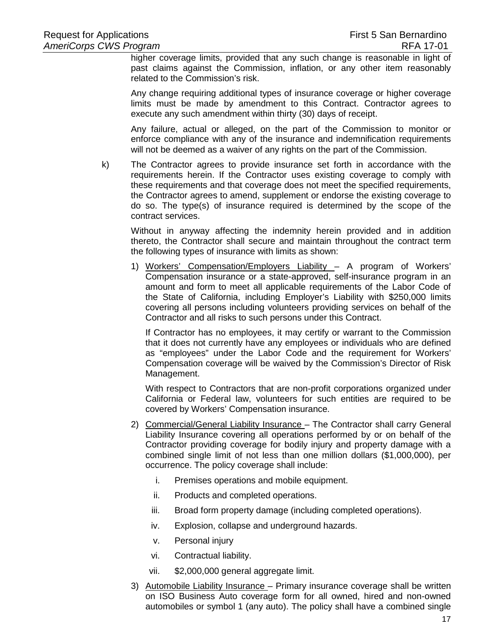higher coverage limits, provided that any such change is reasonable in light of past claims against the Commission, inflation, or any other item reasonably related to the Commission's risk.

Any change requiring additional types of insurance coverage or higher coverage limits must be made by amendment to this Contract. Contractor agrees to execute any such amendment within thirty (30) days of receipt.

Any failure, actual or alleged, on the part of the Commission to monitor or enforce compliance with any of the insurance and indemnification requirements will not be deemed as a waiver of any rights on the part of the Commission.

k) The Contractor agrees to provide insurance set forth in accordance with the requirements herein. If the Contractor uses existing coverage to comply with these requirements and that coverage does not meet the specified requirements, the Contractor agrees to amend, supplement or endorse the existing coverage to do so. The type(s) of insurance required is determined by the scope of the contract services.

Without in anyway affecting the indemnity herein provided and in addition thereto, the Contractor shall secure and maintain throughout the contract term the following types of insurance with limits as shown:

1) Workers' Compensation/Employers Liability – A program of Workers' Compensation insurance or a state-approved, self-insurance program in an amount and form to meet all applicable requirements of the Labor Code of the State of California, including Employer's Liability with \$250,000 limits covering all persons including volunteers providing services on behalf of the Contractor and all risks to such persons under this Contract.

If Contractor has no employees, it may certify or warrant to the Commission that it does not currently have any employees or individuals who are defined as "employees" under the Labor Code and the requirement for Workers' Compensation coverage will be waived by the Commission's Director of Risk Management.

With respect to Contractors that are non-profit corporations organized under California or Federal law, volunteers for such entities are required to be covered by Workers' Compensation insurance.

- 2) Commercial/General Liability Insurance The Contractor shall carry General Liability Insurance covering all operations performed by or on behalf of the Contractor providing coverage for bodily injury and property damage with a combined single limit of not less than one million dollars (\$1,000,000), per occurrence. The policy coverage shall include:
	- i. Premises operations and mobile equipment.
	- ii. Products and completed operations.
	- iii. Broad form property damage (including completed operations).
	- iv. Explosion, collapse and underground hazards.
	- v. Personal injury
	- vi. Contractual liability.
	- vii. \$2,000,000 general aggregate limit.
- 3) Automobile Liability Insurance Primary insurance coverage shall be written on ISO Business Auto coverage form for all owned, hired and non-owned automobiles or symbol 1 (any auto). The policy shall have a combined single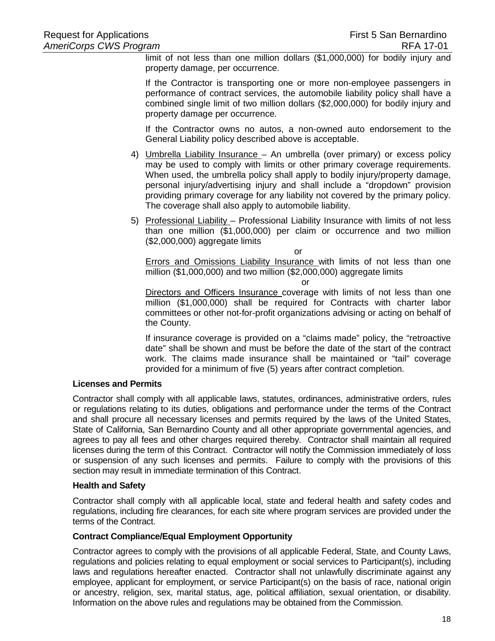limit of not less than one million dollars (\$1,000,000) for bodily injury and property damage, per occurrence.

If the Contractor is transporting one or more non-employee passengers in performance of contract services, the automobile liability policy shall have a combined single limit of two million dollars (\$2,000,000) for bodily injury and property damage per occurrence.

If the Contractor owns no autos, a non-owned auto endorsement to the General Liability policy described above is acceptable.

- 4) Umbrella Liability Insurance An umbrella (over primary) or excess policy may be used to comply with limits or other primary coverage requirements. When used, the umbrella policy shall apply to bodily injury/property damage, personal injury/advertising injury and shall include a "dropdown" provision providing primary coverage for any liability not covered by the primary policy. The coverage shall also apply to automobile liability.
- 5) Professional Liability Professional Liability Insurance with limits of not less than one million (\$1,000,000) per claim or occurrence and two million (\$2,000,000) aggregate limits

or

Errors and Omissions Liability Insurance with limits of not less than one million (\$1,000,000) and two million (\$2,000,000) aggregate limits

or

Directors and Officers Insurance coverage with limits of not less than one million (\$1,000,000) shall be required for Contracts with charter labor committees or other not-for-profit organizations advising or acting on behalf of the County.

If insurance coverage is provided on a "claims made" policy, the "retroactive date" shall be shown and must be before the date of the start of the contract work. The claims made insurance shall be maintained or "tail" coverage provided for a minimum of five (5) years after contract completion.

## **Licenses and Permits**

Contractor shall comply with all applicable laws, statutes, ordinances, administrative orders, rules or regulations relating to its duties, obligations and performance under the terms of the Contract and shall procure all necessary licenses and permits required by the laws of the United States, State of California, San Bernardino County and all other appropriate governmental agencies, and agrees to pay all fees and other charges required thereby. Contractor shall maintain all required licenses during the term of this Contract. Contractor will notify the Commission immediately of loss or suspension of any such licenses and permits. Failure to comply with the provisions of this section may result in immediate termination of this Contract.

#### **Health and Safety**

Contractor shall comply with all applicable local, state and federal health and safety codes and regulations, including fire clearances, for each site where program services are provided under the terms of the Contract.

## **Contract Compliance/Equal Employment Opportunity**

Contractor agrees to comply with the provisions of all applicable Federal, State, and County Laws, regulations and policies relating to equal employment or social services to Participant(s), including laws and regulations hereafter enacted. Contractor shall not unlawfully discriminate against any employee, applicant for employment, or service Participant(s) on the basis of race, national origin or ancestry, religion, sex, marital status, age, political affiliation, sexual orientation, or disability. Information on the above rules and regulations may be obtained from the Commission.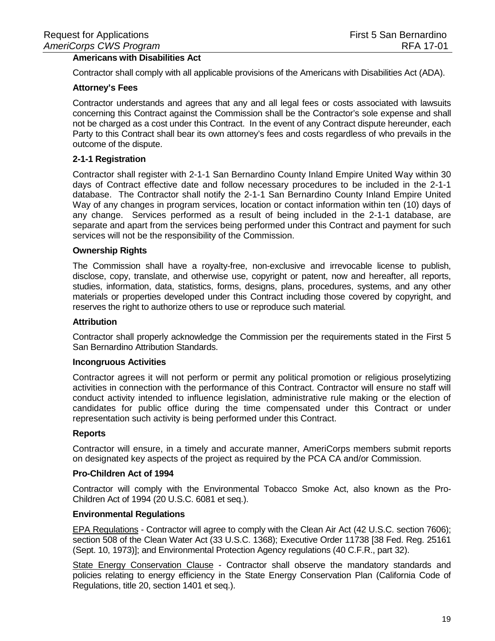## **Americans with Disabilities Act**

Contractor shall comply with all applicable provisions of the Americans with Disabilities Act (ADA).

#### **Attorney's Fees**

Contractor understands and agrees that any and all legal fees or costs associated with lawsuits concerning this Contract against the Commission shall be the Contractor's sole expense and shall not be charged as a cost under this Contract. In the event of any Contract dispute hereunder, each Party to this Contract shall bear its own attorney's fees and costs regardless of who prevails in the outcome of the dispute.

#### **2-1-1 Registration**

Contractor shall register with 2-1-1 San Bernardino County Inland Empire United Way within 30 days of Contract effective date and follow necessary procedures to be included in the 2-1-1 database. The Contractor shall notify the 2-1-1 San Bernardino County Inland Empire United Way of any changes in program services, location or contact information within ten (10) days of any change. Services performed as a result of being included in the 2-1-1 database, are separate and apart from the services being performed under this Contract and payment for such services will not be the responsibility of the Commission.

#### **Ownership Rights**

The Commission shall have a royalty-free, non-exclusive and irrevocable license to publish, disclose, copy, translate, and otherwise use, copyright or patent, now and hereafter, all reports, studies, information, data, statistics, forms, designs, plans, procedures, systems, and any other materials or properties developed under this Contract including those covered by copyright, and reserves the right to authorize others to use or reproduce such material*.* 

#### **Attribution**

Contractor shall properly acknowledge the Commission per the requirements stated in the First 5 San Bernardino Attribution Standards.

#### **Incongruous Activities**

Contractor agrees it will not perform or permit any political promotion or religious proselytizing activities in connection with the performance of this Contract. Contractor will ensure no staff will conduct activity intended to influence legislation, administrative rule making or the election of candidates for public office during the time compensated under this Contract or under representation such activity is being performed under this Contract.

#### **Reports**

Contractor will ensure, in a timely and accurate manner, AmeriCorps members submit reports on designated key aspects of the project as required by the PCA CA and/or Commission.

#### **Pro-Children Act of 1994**

Contractor will comply with the Environmental Tobacco Smoke Act, also known as the Pro-Children Act of 1994 (20 U.S.C. 6081 et seq.).

#### **Environmental Regulations**

EPA Regulations - Contractor will agree to comply with the Clean Air Act (42 U.S.C. section 7606); section 508 of the Clean Water Act (33 U.S.C. 1368); Executive Order 11738 [38 Fed. Reg. 25161 (Sept. 10, 1973)]; and Environmental Protection Agency regulations (40 C.F.R., part 32).

State Energy Conservation Clause - Contractor shall observe the mandatory standards and policies relating to energy efficiency in the State Energy Conservation Plan (California Code of Regulations, title 20, section 1401 et seq.).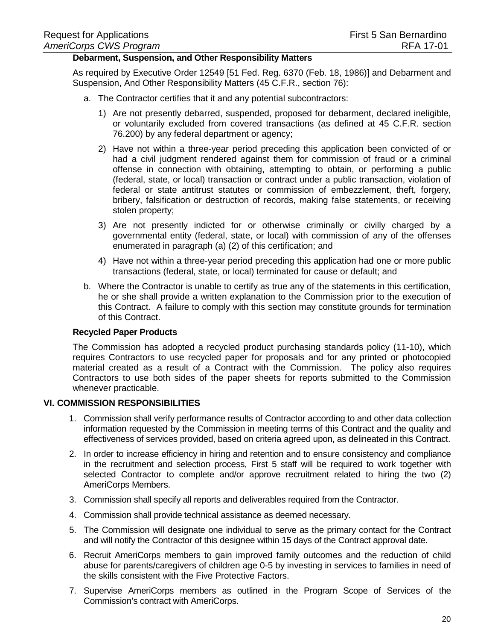#### **Debarment, Suspension, and Other Responsibility Matters**

As required by Executive Order 12549 [51 Fed. Reg. 6370 (Feb. 18, 1986)] and Debarment and Suspension, And Other Responsibility Matters (45 C.F.R., section 76):

- a. The Contractor certifies that it and any potential subcontractors:
	- 1) Are not presently debarred, suspended, proposed for debarment, declared ineligible, or voluntarily excluded from covered transactions (as defined at 45 C.F.R. section 76.200) by any federal department or agency;
	- 2) Have not within a three-year period preceding this application been convicted of or had a civil judgment rendered against them for commission of fraud or a criminal offense in connection with obtaining, attempting to obtain, or performing a public (federal, state, or local) transaction or contract under a public transaction, violation of federal or state antitrust statutes or commission of embezzlement, theft, forgery, bribery, falsification or destruction of records, making false statements, or receiving stolen property;
	- 3) Are not presently indicted for or otherwise criminally or civilly charged by a governmental entity (federal, state, or local) with commission of any of the offenses enumerated in paragraph (a) (2) of this certification; and
	- 4) Have not within a three-year period preceding this application had one or more public transactions (federal, state, or local) terminated for cause or default; and
- b. Where the Contractor is unable to certify as true any of the statements in this certification, he or she shall provide a written explanation to the Commission prior to the execution of this Contract. A failure to comply with this section may constitute grounds for termination of this Contract.

#### **Recycled Paper Products**

The Commission has adopted a recycled product purchasing standards policy (11-10), which requires Contractors to use recycled paper for proposals and for any printed or photocopied material created as a result of a Contract with the Commission. The policy also requires Contractors to use both sides of the paper sheets for reports submitted to the Commission whenever practicable.

## **VI. COMMISSION RESPONSIBILITIES**

- 1. Commission shall verify performance results of Contractor according to and other data collection information requested by the Commission in meeting terms of this Contract and the quality and effectiveness of services provided, based on criteria agreed upon, as delineated in this Contract.
- 2. In order to increase efficiency in hiring and retention and to ensure consistency and compliance in the recruitment and selection process, First 5 staff will be required to work together with selected Contractor to complete and/or approve recruitment related to hiring the two (2) AmeriCorps Members.
- 3. Commission shall specify all reports and deliverables required from the Contractor.
- 4. Commission shall provide technical assistance as deemed necessary.
- 5. The Commission will designate one individual to serve as the primary contact for the Contract and will notify the Contractor of this designee within 15 days of the Contract approval date.
- 6. Recruit AmeriCorps members to gain improved family outcomes and the reduction of child abuse for parents/caregivers of children age 0-5 by investing in services to families in need of the skills consistent with the Five Protective Factors.
- 7. Supervise AmeriCorps members as outlined in the Program Scope of Services of the Commission's contract with AmeriCorps.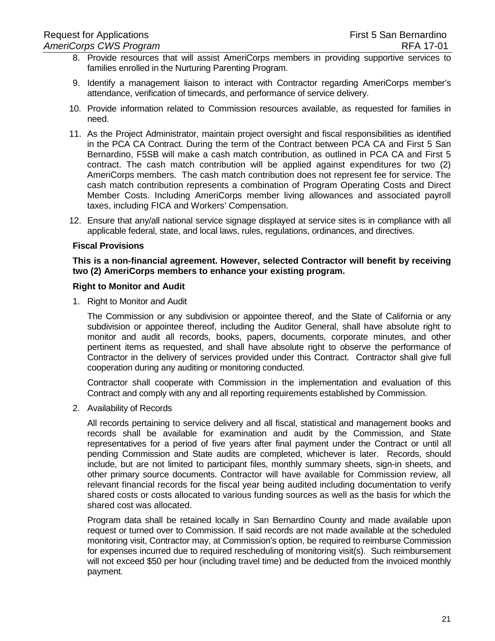- 8. Provide resources that will assist AmeriCorps members in providing supportive services to families enrolled in the Nurturing Parenting Program.
- 9. Identify a management liaison to interact with Contractor regarding AmeriCorps member's attendance, verification of timecards, and performance of service delivery.
- 10. Provide information related to Commission resources available, as requested for families in need.
- 11. As the Project Administrator, maintain project oversight and fiscal responsibilities as identified in the PCA CA Contract. During the term of the Contract between PCA CA and First 5 San Bernardino, F5SB will make a cash match contribution, as outlined in PCA CA and First 5 contract. The cash match contribution will be applied against expenditures for two (2) AmeriCorps members. The cash match contribution does not represent fee for service. The cash match contribution represents a combination of Program Operating Costs and Direct Member Costs. Including AmeriCorps member living allowances and associated payroll taxes, including FICA and Workers' Compensation.
- 12. Ensure that any/all national service signage displayed at service sites is in compliance with all applicable federal, state, and local laws, rules, regulations, ordinances, and directives.

#### **Fiscal Provisions**

**This is a non-financial agreement. However, selected Contractor will benefit by receiving two (2) AmeriCorps members to enhance your existing program.**

#### **Right to Monitor and Audit**

1. Right to Monitor and Audit

The Commission or any subdivision or appointee thereof, and the State of California or any subdivision or appointee thereof, including the Auditor General, shall have absolute right to monitor and audit all records, books, papers, documents, corporate minutes, and other pertinent items as requested, and shall have absolute right to observe the performance of Contractor in the delivery of services provided under this Contract. Contractor shall give full cooperation during any auditing or monitoring conducted.

Contractor shall cooperate with Commission in the implementation and evaluation of this Contract and comply with any and all reporting requirements established by Commission.

2. Availability of Records

All records pertaining to service delivery and all fiscal, statistical and management books and records shall be available for examination and audit by the Commission, and State representatives for a period of five years after final payment under the Contract or until all pending Commission and State audits are completed, whichever is later. Records, should include, but are not limited to participant files, monthly summary sheets, sign-in sheets, and other primary source documents. Contractor will have available for Commission review, all relevant financial records for the fiscal year being audited including documentation to verify shared costs or costs allocated to various funding sources as well as the basis for which the shared cost was allocated.

Program data shall be retained locally in San Bernardino County and made available upon request or turned over to Commission. If said records are not made available at the scheduled monitoring visit, Contractor may, at Commission's option, be required to reimburse Commission for expenses incurred due to required rescheduling of monitoring visit(s). Such reimbursement will not exceed \$50 per hour (including travel time) and be deducted from the invoiced monthly payment.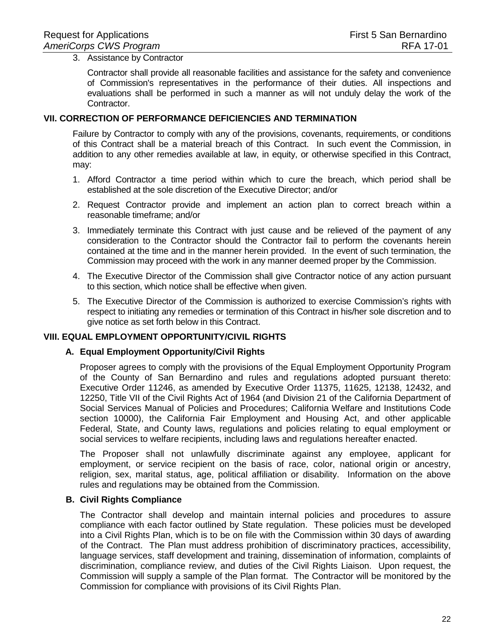#### 3. Assistance by Contractor

Contractor shall provide all reasonable facilities and assistance for the safety and convenience of Commission's representatives in the performance of their duties. All inspections and evaluations shall be performed in such a manner as will not unduly delay the work of the Contractor.

#### **VII. CORRECTION OF PERFORMANCE DEFICIENCIES AND TERMINATION**

Failure by Contractor to comply with any of the provisions, covenants, requirements, or conditions of this Contract shall be a material breach of this Contract. In such event the Commission, in addition to any other remedies available at law, in equity, or otherwise specified in this Contract, may:

- 1. Afford Contractor a time period within which to cure the breach, which period shall be established at the sole discretion of the Executive Director; and/or
- 2. Request Contractor provide and implement an action plan to correct breach within a reasonable timeframe; and/or
- 3. Immediately terminate this Contract with just cause and be relieved of the payment of any consideration to the Contractor should the Contractor fail to perform the covenants herein contained at the time and in the manner herein provided. In the event of such termination, the Commission may proceed with the work in any manner deemed proper by the Commission.
- 4. The Executive Director of the Commission shall give Contractor notice of any action pursuant to this section, which notice shall be effective when given.
- 5. The Executive Director of the Commission is authorized to exercise Commission's rights with respect to initiating any remedies or termination of this Contract in his/her sole discretion and to give notice as set forth below in this Contract.

## **VIII. EQUAL EMPLOYMENT OPPORTUNITY/CIVIL RIGHTS**

## **A. Equal Employment Opportunity/Civil Rights**

Proposer agrees to comply with the provisions of the Equal Employment Opportunity Program of the County of San Bernardino and rules and regulations adopted pursuant thereto: Executive Order 11246, as amended by Executive Order 11375, 11625, 12138, 12432, and 12250, Title VII of the Civil Rights Act of 1964 (and Division 21 of the California Department of Social Services Manual of Policies and Procedures; California Welfare and Institutions Code section 10000), the California Fair Employment and Housing Act, and other applicable Federal, State, and County laws, regulations and policies relating to equal employment or social services to welfare recipients, including laws and regulations hereafter enacted.

The Proposer shall not unlawfully discriminate against any employee, applicant for employment, or service recipient on the basis of race, color, national origin or ancestry, religion, sex, marital status, age, political affiliation or disability. Information on the above rules and regulations may be obtained from the Commission.

## **B. Civil Rights Compliance**

The Contractor shall develop and maintain internal policies and procedures to assure compliance with each factor outlined by State regulation. These policies must be developed into a Civil Rights Plan, which is to be on file with the Commission within 30 days of awarding of the Contract. The Plan must address prohibition of discriminatory practices, accessibility, language services, staff development and training, dissemination of information, complaints of discrimination, compliance review, and duties of the Civil Rights Liaison. Upon request, the Commission will supply a sample of the Plan format. The Contractor will be monitored by the Commission for compliance with provisions of its Civil Rights Plan.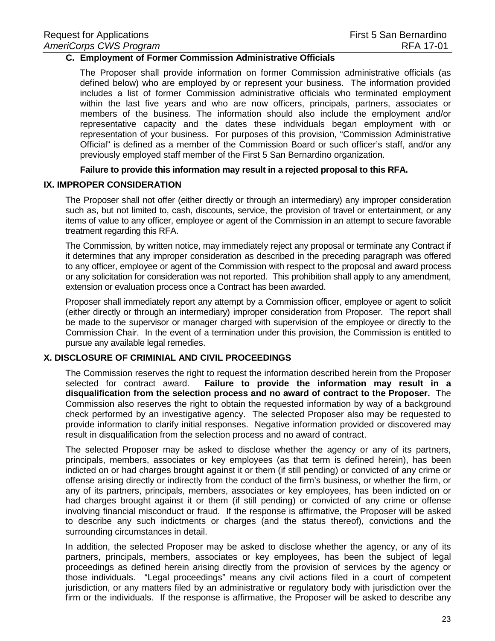#### **C. Employment of Former Commission Administrative Officials**

The Proposer shall provide information on former Commission administrative officials (as defined below) who are employed by or represent your business. The information provided includes a list of former Commission administrative officials who terminated employment within the last five years and who are now officers, principals, partners, associates or members of the business. The information should also include the employment and/or representative capacity and the dates these individuals began employment with or representation of your business. For purposes of this provision, "Commission Administrative Official" is defined as a member of the Commission Board or such officer's staff, and/or any previously employed staff member of the First 5 San Bernardino organization.

#### **Failure to provide this information may result in a rejected proposal to this RFA.**

#### **IX. IMPROPER CONSIDERATION**

The Proposer shall not offer (either directly or through an intermediary) any improper consideration such as, but not limited to, cash, discounts, service, the provision of travel or entertainment, or any items of value to any officer, employee or agent of the Commission in an attempt to secure favorable treatment regarding this RFA.

The Commission, by written notice, may immediately reject any proposal or terminate any Contract if it determines that any improper consideration as described in the preceding paragraph was offered to any officer, employee or agent of the Commission with respect to the proposal and award process or any solicitation for consideration was not reported. This prohibition shall apply to any amendment, extension or evaluation process once a Contract has been awarded.

Proposer shall immediately report any attempt by a Commission officer, employee or agent to solicit (either directly or through an intermediary) improper consideration from Proposer. The report shall be made to the supervisor or manager charged with supervision of the employee or directly to the Commission Chair. In the event of a termination under this provision, the Commission is entitled to pursue any available legal remedies.

## **X. DISCLOSURE OF CRIMINIAL AND CIVIL PROCEEDINGS**

The Commission reserves the right to request the information described herein from the Proposer<br>selected for contract award. Failure to provide the information may result in a Failure to provide the information may result in a **disqualification from the selection process and no award of contract to the Proposer.** The Commission also reserves the right to obtain the requested information by way of a background check performed by an investigative agency. The selected Proposer also may be requested to provide information to clarify initial responses. Negative information provided or discovered may result in disqualification from the selection process and no award of contract.

The selected Proposer may be asked to disclose whether the agency or any of its partners, principals, members, associates or key employees (as that term is defined herein), has been indicted on or had charges brought against it or them (if still pending) or convicted of any crime or offense arising directly or indirectly from the conduct of the firm's business, or whether the firm, or any of its partners, principals, members, associates or key employees, has been indicted on or had charges brought against it or them (if still pending) or convicted of any crime or offense involving financial misconduct or fraud. If the response is affirmative, the Proposer will be asked to describe any such indictments or charges (and the status thereof), convictions and the surrounding circumstances in detail.

In addition, the selected Proposer may be asked to disclose whether the agency, or any of its partners, principals, members, associates or key employees, has been the subject of legal proceedings as defined herein arising directly from the provision of services by the agency or those individuals. "Legal proceedings" means any civil actions filed in a court of competent jurisdiction, or any matters filed by an administrative or regulatory body with jurisdiction over the firm or the individuals. If the response is affirmative, the Proposer will be asked to describe any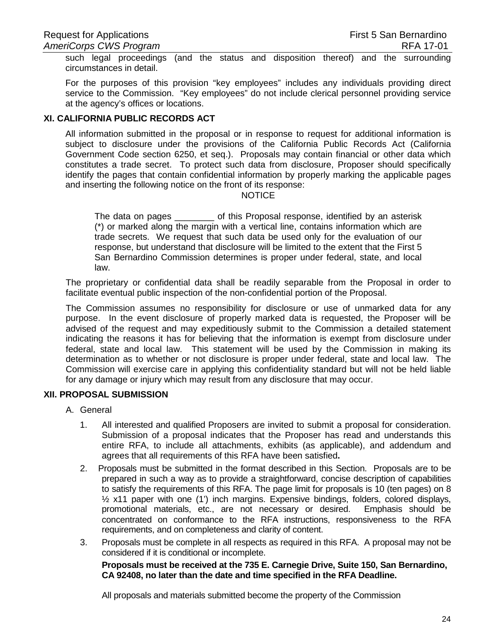such legal proceedings (and the status and disposition thereof) and the surrounding circumstances in detail.

For the purposes of this provision "key employees" includes any individuals providing direct service to the Commission. "Key employees" do not include clerical personnel providing service at the agency's offices or locations.

## **XI. CALIFORNIA PUBLIC RECORDS ACT**

All information submitted in the proposal or in response to request for additional information is subject to disclosure under the provisions of the California Public Records Act (California Government Code section 6250, et seq.). Proposals may contain financial or other data which constitutes a trade secret. To protect such data from disclosure, Proposer should specifically identify the pages that contain confidential information by properly marking the applicable pages and inserting the following notice on the front of its response:

#### **NOTICE**

The data on pages \_\_\_\_\_\_\_\_ of this Proposal response, identified by an asterisk (\*) or marked along the margin with a vertical line, contains information which are trade secrets. We request that such data be used only for the evaluation of our response, but understand that disclosure will be limited to the extent that the First 5 San Bernardino Commission determines is proper under federal, state, and local law.

The proprietary or confidential data shall be readily separable from the Proposal in order to facilitate eventual public inspection of the non-confidential portion of the Proposal.

The Commission assumes no responsibility for disclosure or use of unmarked data for any purpose. In the event disclosure of properly marked data is requested, the Proposer will be advised of the request and may expeditiously submit to the Commission a detailed statement indicating the reasons it has for believing that the information is exempt from disclosure under federal, state and local law. This statement will be used by the Commission in making its determination as to whether or not disclosure is proper under federal, state and local law. The Commission will exercise care in applying this confidentiality standard but will not be held liable for any damage or injury which may result from any disclosure that may occur.

## **XII. PROPOSAL SUBMISSION**

- A. General
	- 1. All interested and qualified Proposers are invited to submit a proposal for consideration. Submission of a proposal indicates that the Proposer has read and understands this entire RFA, to include all attachments, exhibits (as applicable), and addendum and agrees that all requirements of this RFA have been satisfied**.**
	- 2. Proposals must be submitted in the format described in this Section. Proposals are to be prepared in such a way as to provide a straightforward, concise description of capabilities to satisfy the requirements of this RFA. The page limit for proposals is 10 (ten pages) on 8  $\frac{1}{2}$  x11 paper with one (1') inch margins. Expensive bindings, folders, colored displays, promotional materials, etc., are not necessary or desired. Emphasis should be promotional materials, etc., are not necessary or desired. concentrated on conformance to the RFA instructions, responsiveness to the RFA requirements, and on completeness and clarity of content.
	- 3. Proposals must be complete in all respects as required in this RFA. A proposal may not be considered if it is conditional or incomplete.

**Proposals must be received at the 735 E. Carnegie Drive, Suite 150, San Bernardino, CA 92408, no later than the date and time specified in the RFA Deadline.** 

All proposals and materials submitted become the property of the Commission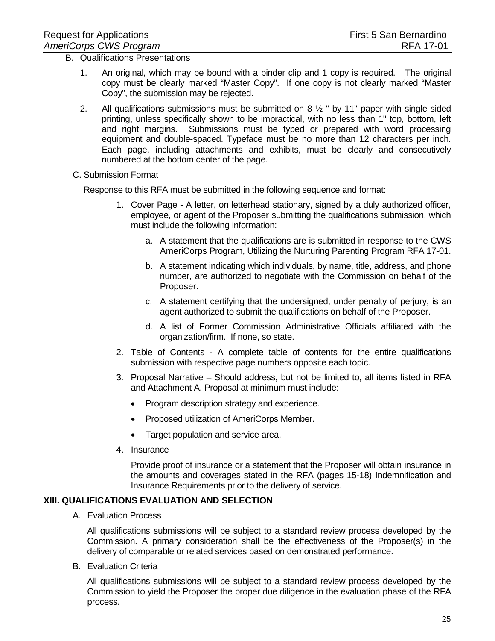- B. Qualifications Presentations
	- 1. An original, which may be bound with a binder clip and 1 copy is required. The original copy must be clearly marked "Master Copy". If one copy is not clearly marked "Master Copy", the submission may be rejected.
	- 2. All qualifications submissions must be submitted on 8  $\frac{1}{2}$  " by 11" paper with single sided printing, unless specifically shown to be impractical, with no less than 1" top, bottom, left and right margins. Submissions must be typed or prepared with word processing equipment and double-spaced. Typeface must be no more than 12 characters per inch. Each page, including attachments and exhibits, must be clearly and consecutively numbered at the bottom center of the page.
	- C. Submission Format

Response to this RFA must be submitted in the following sequence and format:

- 1. Cover Page A letter, on letterhead stationary, signed by a duly authorized officer, employee, or agent of the Proposer submitting the qualifications submission, which must include the following information:
	- a. A statement that the qualifications are is submitted in response to the CWS AmeriCorps Program, Utilizing the Nurturing Parenting Program RFA 17-01.
	- b. A statement indicating which individuals, by name, title, address, and phone number, are authorized to negotiate with the Commission on behalf of the Proposer.
	- c. A statement certifying that the undersigned, under penalty of perjury, is an agent authorized to submit the qualifications on behalf of the Proposer.
	- d. A list of Former Commission Administrative Officials affiliated with the organization/firm. If none, so state.
- 2. Table of Contents A complete table of contents for the entire qualifications submission with respective page numbers opposite each topic.
- 3. Proposal Narrative Should address, but not be limited to, all items listed in RFA and Attachment A. Proposal at minimum must include:
	- Program description strategy and experience.
	- Proposed utilization of AmeriCorps Member.
	- Target population and service area.
- 4. Insurance

Provide proof of insurance or a statement that the Proposer will obtain insurance in the amounts and coverages stated in the RFA (pages 15-18) Indemnification and Insurance Requirements prior to the delivery of service.

## **XIII. QUALIFICATIONS EVALUATION AND SELECTION**

A. Evaluation Process

All qualifications submissions will be subject to a standard review process developed by the Commission. A primary consideration shall be the effectiveness of the Proposer(s) in the delivery of comparable or related services based on demonstrated performance.

B. Evaluation Criteria

All qualifications submissions will be subject to a standard review process developed by the Commission to yield the Proposer the proper due diligence in the evaluation phase of the RFA process.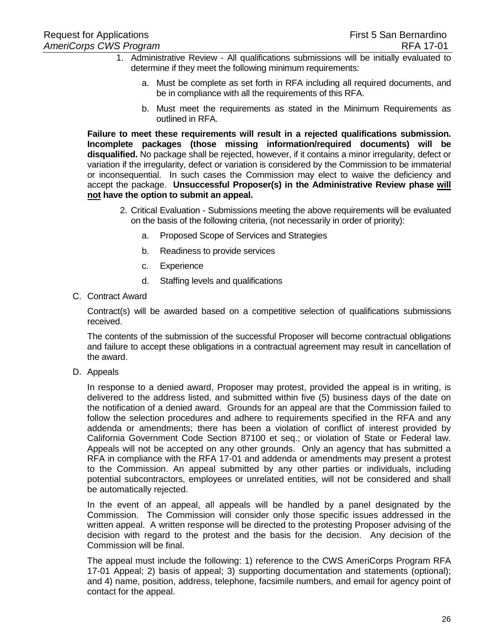- 1. Administrative Review All qualifications submissions will be initially evaluated to determine if they meet the following minimum requirements:
	- a. Must be complete as set forth in RFA including all required documents, and be in compliance with all the requirements of this RFA.
	- b. Must meet the requirements as stated in the Minimum Requirements as outlined in RFA.

**Failure to meet these requirements will result in a rejected qualifications submission. Incomplete packages (those missing information/required documents) will be disqualified.** No package shall be rejected, however, if it contains a minor irregularity, defect or variation if the irregularity, defect or variation is considered by the Commission to be immaterial or inconsequential. In such cases the Commission may elect to waive the deficiency and accept the package. **Unsuccessful Proposer(s) in the Administrative Review phase will not have the option to submit an appeal.**

- 2. Critical Evaluation Submissions meeting the above requirements will be evaluated on the basis of the following criteria, (not necessarily in order of priority):
	- a. Proposed Scope of Services and Strategies
	- b. Readiness to provide services
	- c. Experience
	- d. Staffing levels and qualifications
- C. Contract Award

Contract(s) will be awarded based on a competitive selection of qualifications submissions received.

The contents of the submission of the successful Proposer will become contractual obligations and failure to accept these obligations in a contractual agreement may result in cancellation of the award.

D. Appeals

In response to a denied award, Proposer may protest, provided the appeal is in writing, is delivered to the address listed, and submitted within five (5) business days of the date on the notification of a denied award. Grounds for an appeal are that the Commission failed to follow the selection procedures and adhere to requirements specified in the RFA and any addenda or amendments; there has been a violation of conflict of interest provided by California Government Code Section 87100 et seq.; or violation of State or Federal law. Appeals will not be accepted on any other grounds. Only an agency that has submitted a RFA in compliance with the RFA 17-01 and addenda or amendments may present a protest to the Commission. An appeal submitted by any other parties or individuals, including potential subcontractors, employees or unrelated entities, will not be considered and shall be automatically rejected.

In the event of an appeal, all appeals will be handled by a panel designated by the Commission. The Commission will consider only those specific issues addressed in the written appeal. A written response will be directed to the protesting Proposer advising of the decision with regard to the protest and the basis for the decision. Any decision of the Commission will be final.

The appeal must include the following: 1) reference to the CWS AmeriCorps Program RFA 17-01 Appeal; 2) basis of appeal; 3) supporting documentation and statements (optional); and 4) name, position, address, telephone, facsimile numbers, and email for agency point of contact for the appeal.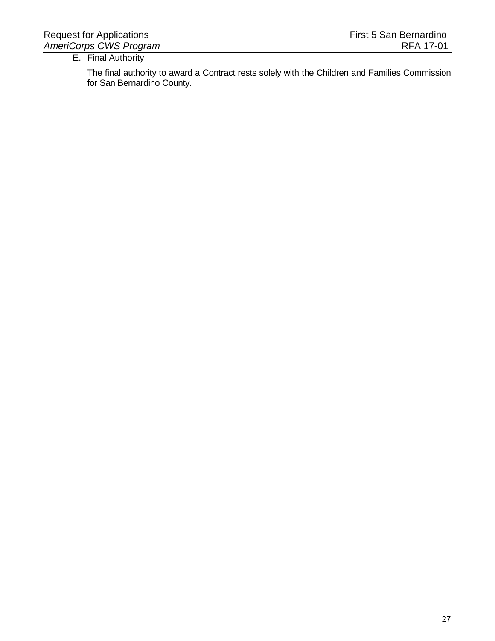## E. Final Authority

The final authority to award a Contract rests solely with the Children and Families Commission for San Bernardino County.